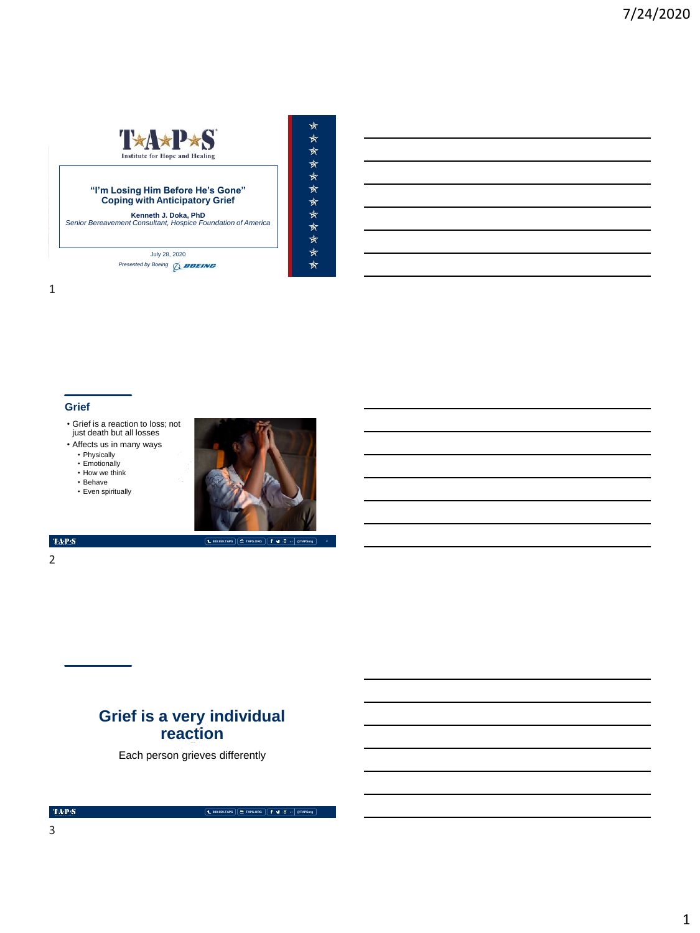

#### **"I'm Losing Him Before He's Gone" Coping with Anticipatory Grief**

**Kenneth J. Doka, PhD** *Senior Bereavement Consultant, Hospice Foundation of America*

July 28, 2020 **Presented by Boeing** *Q\_BOEING* 

## **Grief**

- Grief is a reaction to loss; not just death but all losses
- Affects us in many ways
	- Physically • Emotionally
	- How we think
	- Behave
	- Even spiritually



 $\star$ 

\*\*\*\*\*\*\*\*\*\*\*\*

 $\mbox{TAPS}$ 

2

# **Grief is a very individual reaction**

Each person grieves differently

 $\mbox{TA-PS}$ 

**800.959.TAPS TAPS.ORG @TAPSorg**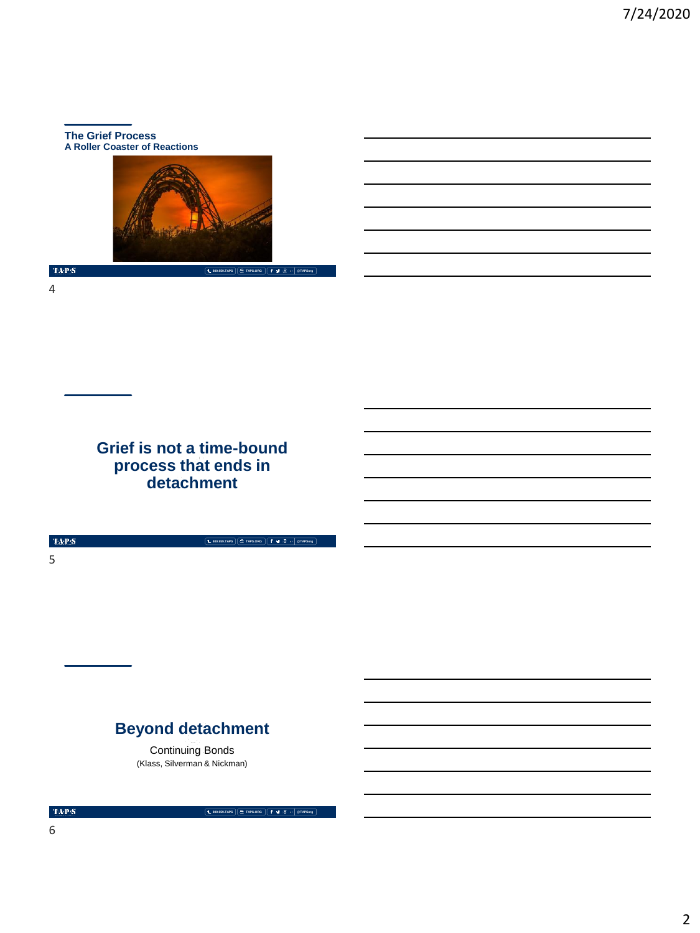#### **The Grief Process A Roller Coaster of Reactions**



**800.959.TAPS TAPS.ORG @TAPSorg**

 $\langle \mathbf{T} \mathbf{A} \mathbf{P} \mathbf{S} \rangle$ 

4

**Grief is not a time-bound process that ends in detachment**

 $\mbox{TAPS}$ 5

# **Beyond detachment**

Continuing Bonds (Klass, Silverman & Nickman)

 $\mbox{TA-PS}$ 

**800.959.TAPS TAPS.ORG @TAPSorg**

**800.959.TAPS TAPS.ORG @TAPSorg**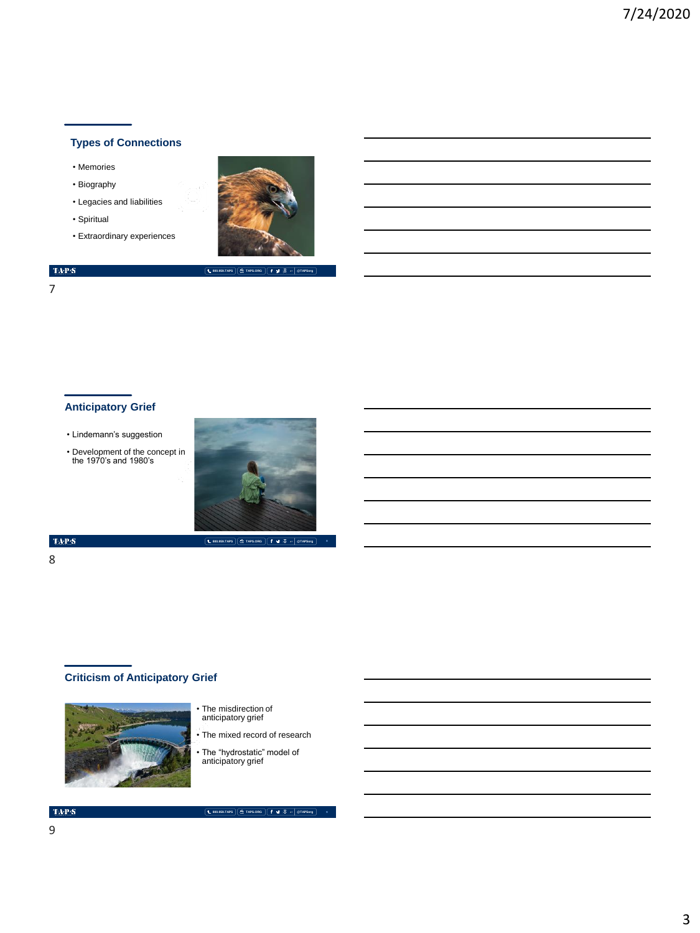# **Types of Connections**

- Memories
- Biography
- Legacies and liabilities
- Spiritual
- Extraordinary experiences



**800.959.TAPS TAPS.ORG @TAPSorg**

#### $\langle \mathbf{TAP}(\mathbf{S}) \rangle$

7

# **Anticipatory Grief**

- Lindemann's suggestion
- Development of the concept in the 1970's and 1980's



### $\langle \mathbf{T} \mathbf{A} \mathbf{P} \mathbf{S} \rangle$

# 8

# **Criticism of Anticipatory Grief**



- The misdirection of anticipatory grief
- The mixed record of research
- The "hydrostatic" model of anticipatory grief

**800.959.TAPS TAPS.ORG @TAPSorg**

#### $\mathrm{TAP}\mathcal{S}$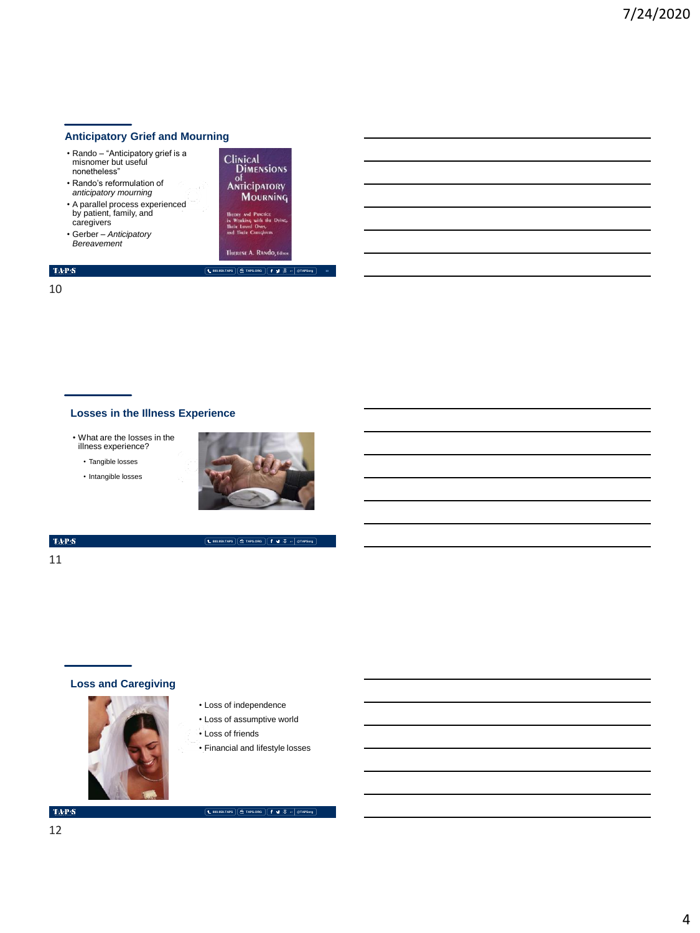## **Anticipatory Grief and Mourning**

- Rando "Anticipatory grief is a misnomer but useful nonetheless"
- Rando's reformulation of *anticipatory mourning* • A parallel process experienced
- by patient, family, and caregivers
- Gerber *Anticipatory Bereavement*



**800.959.TAPS TAPS.ORG @TAPSorg**

 $\mathrm{TAPS}$ 10

### **Losses in the Illness Experience**

• What are the losses in the illness experience?

• Tangible losses

• Intangible losses



**800.959.TAPS TAPS.ORG @TAPSorg**

#### $\mbox{TA-PS}$

11

# **Loss and Caregiving**



- Loss of independence
- Loss of assumptive world
- 
- Loss of friends
- Financial and lifestyle losses

#### $\mbox{TA-PS}$

**800.959.TAPS TAPS.ORG @TAPSorg**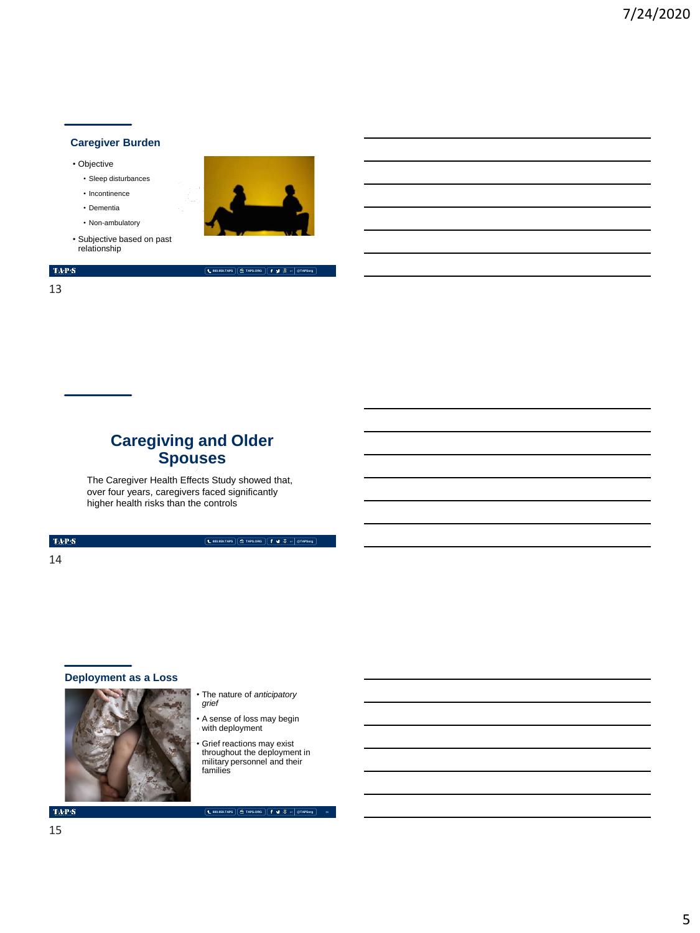## **Caregiver Burden**

• Objective

- Sleep disturbances
- Incontinence
- Dementia
- Non-ambulatory
- Subjective based on past relationship



**800.959.TAPS TAPS.ORG @TAPSorg**



# **Caregiving and Older Spouses**

The Caregiver Health Effects Study showed that, over four years, caregivers faced significantly higher health risks than the controls

 $\mathrm{TAP}S$ 

14

### **Deployment as a Loss**



• The nature of *anticipatory grief*

**800.959.TAPS TAPS.ORG @TAPSorg**

- A sense of loss may begin with deployment
- Grief reactions may exist throughout the deployment in military personnel and their families

**TAPS** 15

**800.959.TAPS TAPS.ORG @TAPSorg**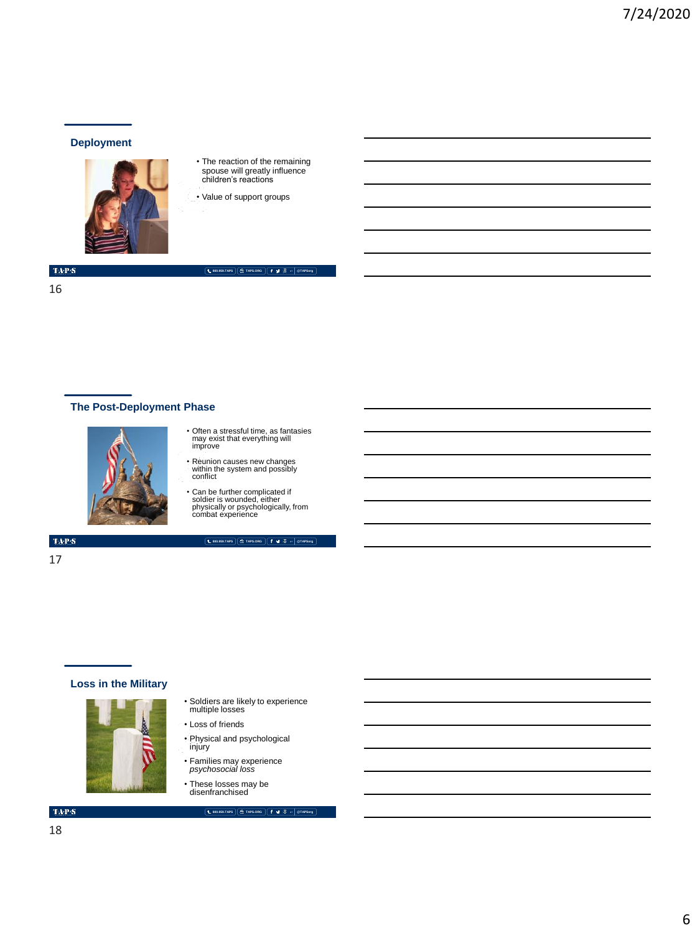#### **Deployment**



- The reaction of the remaining spouse will greatly influence children's reactions
- Value of support groups

#### $\langle \mathbf{T} \mathbf{A} \mathbf{P} \mathbf{S} \rangle$

16

# **800.959.TAPS TAPS.ORG @TAPSorg**

**The Post-Deployment Phase**



- Often a stressful time, as fantasies may exist that everything will improve
- Reunion causes new changes within the system and possibly conflict
- Can be further complicated if soldier is wounded, either physically or psychologically, from combat experience

**800.959.TAPS TAPS.ORG @TAPSorg**

 $\langle \mathbf{T} \mathbf{A} \mathbf{P} \mathbf{S}$ 

17

- **Loss in the Military**
	-
- Soldiers are likely to experience multiple losses
- Loss of friends
- Physical and psychological injury
- Families may experience *psychosocial loss*
- These losses may be disenfranchised

#### **800.959.TAPS TAPS.ORG @TAPSorg**

# $\mbox{TA-PS}$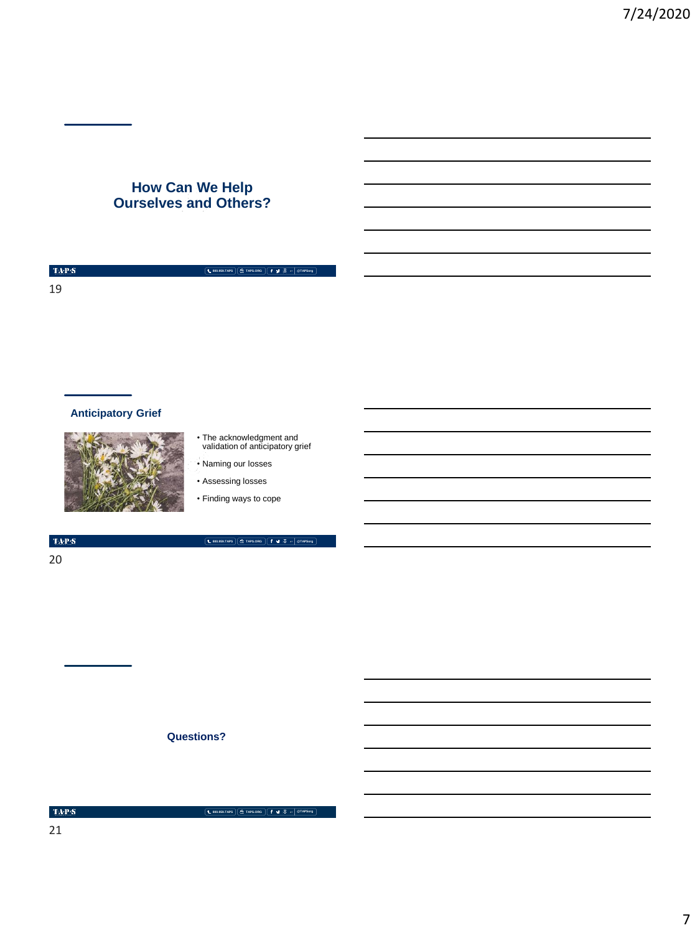# **How Can We Help Ourselves and Others?**

**800.959.TAPS TAPS.ORG @TAPSorg**

# **Anticipatory Grief**



- The acknowledgment and validation of anticipatory grief
- Naming our losses • Assessing losses
- Finding ways to cope

 $\mbox{TAPS}$ 

20

**800.959.TAPS TAPS.ORG @TAPSorg**

**Questions?**

 $\langle \ensuremath{\text{TA-P-S}}\xspace \rangle$ 

**800.959.TAPS TAPS.ORG @TAPSorg**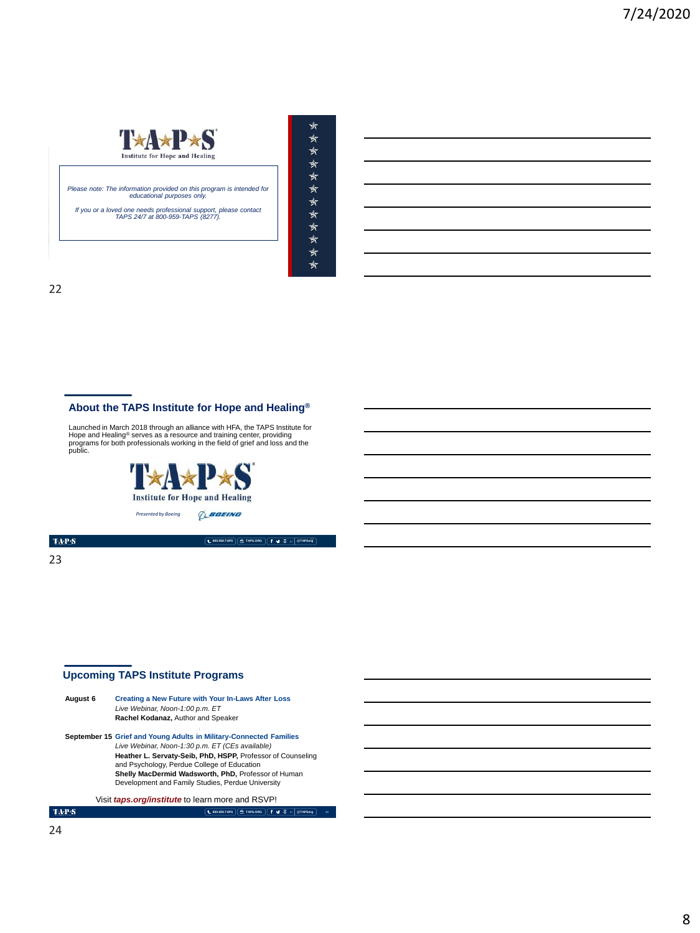

*Please note: The information provided on this program is intended for educational purposes only.* 

*If you or a loved one needs professional support, please contact TAPS 24/7 at 800-959-TAPS (8277).* 

MEMORIAL DAY WEEKEND | MAY 2018

| ★  |
|----|
| ₩  |
| ₹  |
| ₹  |
| ₩  |
| ₩  |
| ↞  |
| ↞  |
| ↞  |
| ₩  |
| ₩  |
| ⊀⊤ |
|    |

22

# **About the TAPS Institute for Hope and Healing®**

Launched in March 2018 through an alliance with HFA, the TAPS Institute for<br>Hope and Healing<sup>®</sup> serves as a resource and training center, providing<br>programs for both professionals working in the field of grief and loss and



 $\mbox{TA-PS}$ 

23

# **Upcoming TAPS Institute Programs**

| August 6 | <b>Creating a New Future with Your In-Laws After Loss</b><br>Live Webinar, Noon-1:00 p.m. ET<br>Rachel Kodanaz, Author and Speaker |
|----------|------------------------------------------------------------------------------------------------------------------------------------|
|          | September 15 Grief and Young Adults in Military-Connected Families                                                                 |
|          | Live Webinar, Noon-1:30 p.m. ET (CEs available)                                                                                    |
|          | Heather L. Servaty-Seib, PhD, HSPP, Professor of Counseling<br>and Psychology, Perdue College of Education                         |
|          | Shelly MacDermid Wadsworth, PhD, Professor of Human                                                                                |
|          | Development and Family Studies, Perdue University                                                                                  |
|          |                                                                                                                                    |

Visit *taps.org/institute* to learn more and RSVP!

**800.959.TAPS TAPS.ORG @TAPSorg**

**800.959.TAPS TAPS.ORG @TAPSorg** 23

 $\mbox{TA-PS}$